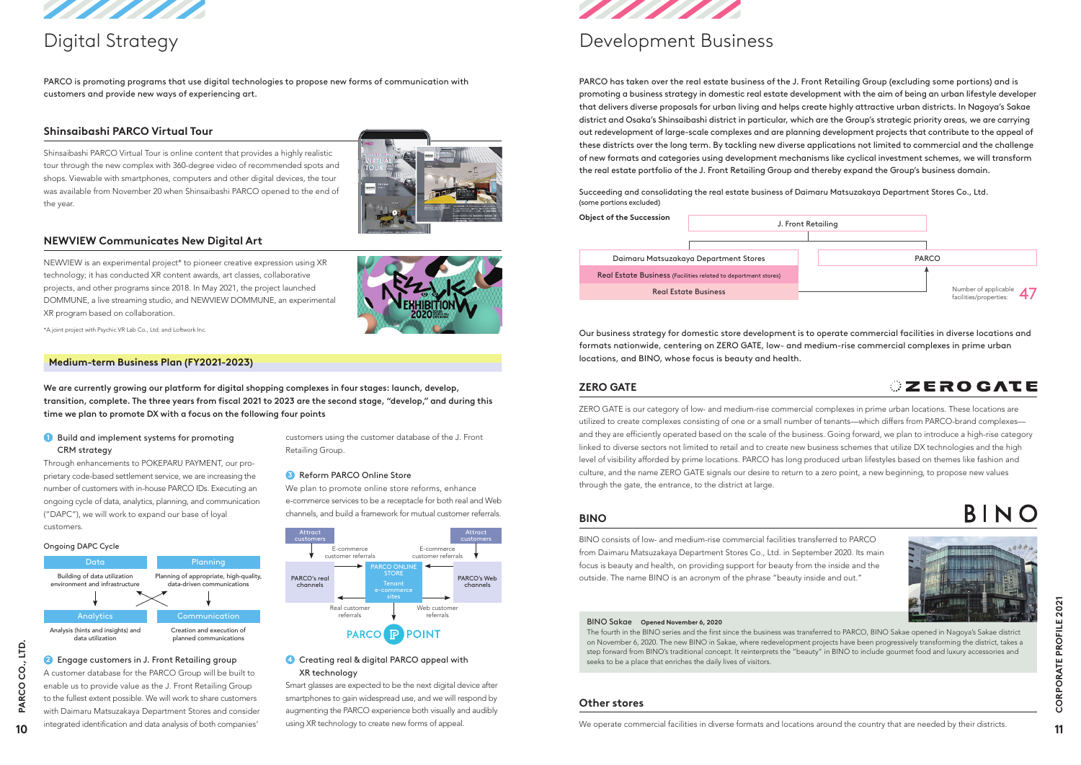

PARCO is promoting programs that use digital technologies to propose new forms of communication with customers and provide new ways of experiencing art.

## **Shinsaibashi PARCO Virtual Tour**

Shinsaibashi PARCO Virtual Tour is online content that provides a highly realistic tour through the new complex with 360-degree video of recommended spots and shops. Viewable with smartphones, computers and other digital devices, the tour was available from November 20 when Shinsaibashi PARCO opened to the end of the year.



## **NEWVIEW Communicates New Digital Art**

NEWVIEW is an experimental project\* to pioneer creative expression using XR technology; it has conducted XR content awards, art classes, collaborative projects, and other programs since 2018. In May 2021, the project launched DOMMUNE, a live streaming studio, and NEWVIEW DOMMUNE, an experimental XR program based on collaboration.



\*A joint project with Psychic VR Lab Co., Ltd. and Loftwork Inc.

#### **Medium-term Business Plan (FY2021-2023)**

We are currently growing our platform for digital shopping complexes in four stages: launch, develop, transition, complete. The three years from fiscal 2021 to 2023 are the second stage, "develop," and during this time we plan to promote DX with a focus on the following four points

### **1** Build and implement systems for promoting CRM strategy

Through enhancements to POKEPARU PAYMENT, our proprietary code-based settlement service, we are increasing the number of customers with in-house PARCO IDs. Executing an ongoing cycle of data, analytics, planning, and communication ("DAPC"), we will work to expand our base of loyal customers.

#### Ongoing DAPC Cycle

A customer database for the PARCO Group will be built to enable us to provide value as the J. Front Retailing Group to the fullest extent possible. We will work to share customers with Daimaru Matsuzakaya Department Stores and consider integrated identification and data analysis of both companies'

PARCO has taken over the real estate business of the J. Front Retailing Group (excluding some portions) and is promoting a business strategy in domestic real estate development with the aim of being an urban lifestyle developer that delivers diverse proposals for urban living and helps create highly attractive urban districts. In Nagoya's Sakae district and Osaka's Shinsaibashi district in particular, which are the Group's strategic priority areas, we are carrying out redevelopment of large-scale complexes and are planning development projects that contribute to the appeal of these districts over the long term. By tackling new diverse applications not limited to commercial and the challenge of new formats and categories using development mechanisms like cyclical investment schemes, we will transform the real estate portfolio of the J. Front Retailing Group and thereby expand the Group's business domain.

customers using the customer database of the J. Front Retailing Group.

#### **3** Reform PARCO Online Store

We plan to promote online store reforms, enhance e-commerce services to be a receptacle for both real and Web channels, and build a framework for mutual customer referrals.

### **4** Creating real & digital PARCO appeal with XR technology

Smart glasses are expected to be the next digital device after smartphones to gain widespread use, and we will respond by augmenting the PARCO experience both visually and audibly using XR technology to create new forms of appeal.



Succeeding and consolidating the real estate business of Daimaru Matsuzakaya Department Stores Co., Ltd. (some portions excluded)



## **EROGATE**



BINO

| <b>Object of the Succession</b>                                | J. Front Retailing |  |       |  |
|----------------------------------------------------------------|--------------------|--|-------|--|
|                                                                |                    |  |       |  |
| Daimaru Matsuzakaya Department Stores                          |                    |  | PARCO |  |
| Real Estate Business (Facilities related to department stores) |                    |  |       |  |
| <b>Real Estate Business</b>                                    |                    |  |       |  |

# Digital Strategy Development Business

Our business strategy for domestic store development is to operate commercial facilities in diverse locations and formats nationwide, centering on ZERO GATE, low- and medium-rise commercial complexes in prime urban locations, and BINO, whose focus is beauty and health.





## **ZERO GATE**

ZERO GATE is our category of low- and medium-rise commercial complexes in prime urban locations. These locations are utilized to create complexes consisting of one or a small number of tenants—which differs from PARCO-brand complexes and they are efficiently operated based on the scale of the business. Going forward, we plan to introduce a high-rise category linked to diverse sectors not limited to retail and to create new business schemes that utilize DX technologies and the high level of visibility afforded by prime locations. PARCO has long produced urban lifestyles based on themes like fashion and culture, and the name ZERO GATE signals our desire to return to a zero point, a new beginning, to propose new values through the gate, the entrance, to the district at large.

## **Other stores**

We operate commercial facilities in diverse formats and locations around the country that are needed by their districts.

#### BINO Sakae **Opened November 6, 2020**

The fourth in the BINO series and the first since the business was transferred to PARCO, BINO Sakae opened in Nagoya's Sakae district on November 6, 2020. The new BINO in Sakae, where redevelopment projects have been progressively transforming the district, takes a step forward from BINO's traditional concept. It reinterprets the "beauty" in BINO to include gourmet food and luxury accessories and seeks to be a place that enriches the daily lives of visitors. **<sup>10</sup> <sup>11</sup> PARCO CO., LTD. CORPORATE PROFILE 2021**

## **BINO**

BINO consists of low- and medium-rise commercial facilities transferred to PARCO from Daimaru Matsuzakaya Department Stores Co., Ltd. in September 2020. Its main focus is beauty and health, on providing support for beauty from the inside and the outside. The name BINO is an acronym of the phrase "beauty inside and out."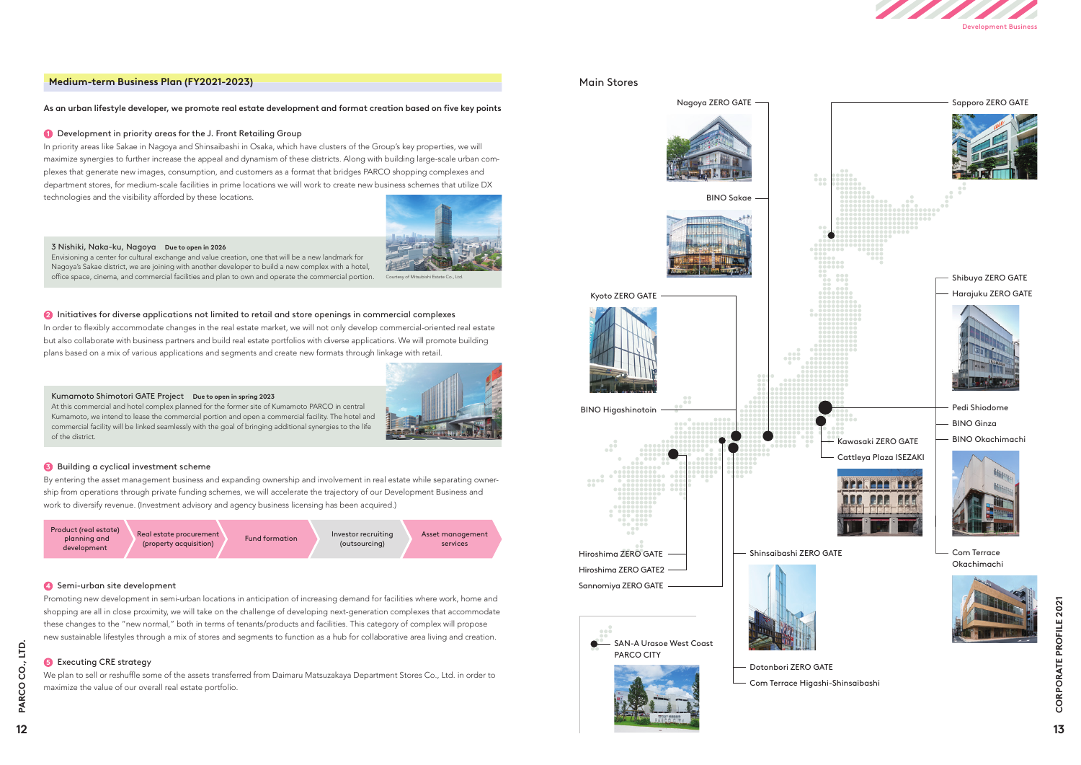#### **Medium-term Business Plan (FY2021-2023)**

#### As an urban lifestyle developer, we promote real estate development and format creation based on five key points

#### **1** Development in priority areas for the J. Front Retailing Group

In priority areas like Sakae in Nagoya and Shinsaibashi in Osaka, which have clusters of the Group's key properties, we will maximize synergies to further increase the appeal and dynamism of these districts. Along with building large-scale urban complexes that generate new images, consumption, and customers as a format that bridges PARCO shopping complexes and department stores, for medium-scale facilities in prime locations we will work to create new business schemes that utilize DX technologies and the visibility afforded by these locations.



In order to flexibly accommodate changes in the real estate market, we will not only develop commercial-oriented real estate but also collaborate with business partners and build real estate portfolios with diverse applications. We will promote building plans based on a mix of various applications and segments and create new formats through linkage with retail.



By entering the asset management business and expanding ownership and involvement in real estate while separating ownership from operations through private funding schemes, we will accelerate the trajectory of our Development Business and work to diversify revenue. (Investment advisory and agency business licensing has been acquired.)

#### **4** Semi-urban site development

Promoting new development in semi-urban locations in anticipation of increasing demand for facilities where work, home and shopping are all in close proximity, we will take on the challenge of developing next-generation complexes that accommodate these changes to the "new normal," both in terms of tenants/products and facilities. This category of complex will propose new sustainable lifestyles through a mix of stores and segments to function as a hub for collaborative area living and creation.

#### **6** Executing CRE strategy

We plan to sell or reshuffle some of the assets transferred from Daimaru Matsuzakaya Department Stores Co., Ltd. in order to maximize the value of our overall real estate portfolio.

#### 3 Nishiki, Naka-ku, Nagoya **Due to open in 2026**

Envisioning a center for cultural exchange and value creation, one that will be a new landmark for Nagoya's Sakae district, we are joining with another developer to build a new complex with a hotel, office space, cinema, and commercial facilities and plan to own and operate the commercial portion.

#### **2** Initiatives for diverse applications not limited to retail and store openings in commercial complexes

#### Kumamoto Shimotori GATE Project **Due to open in spring 2023**

At this commercial and hotel complex planned for the former site of Kumamoto PARCO in central Kumamoto, we intend to lease the commercial portion and open a commercial facility. The hotel and commercial facility will be linked seamlessly with the goal of bringing additional synergies to the life of the district.

#### **3** Building a cyclical investment scheme

### Main Stores











Courtesy of Mitsubishi Estate Co., Ltd.